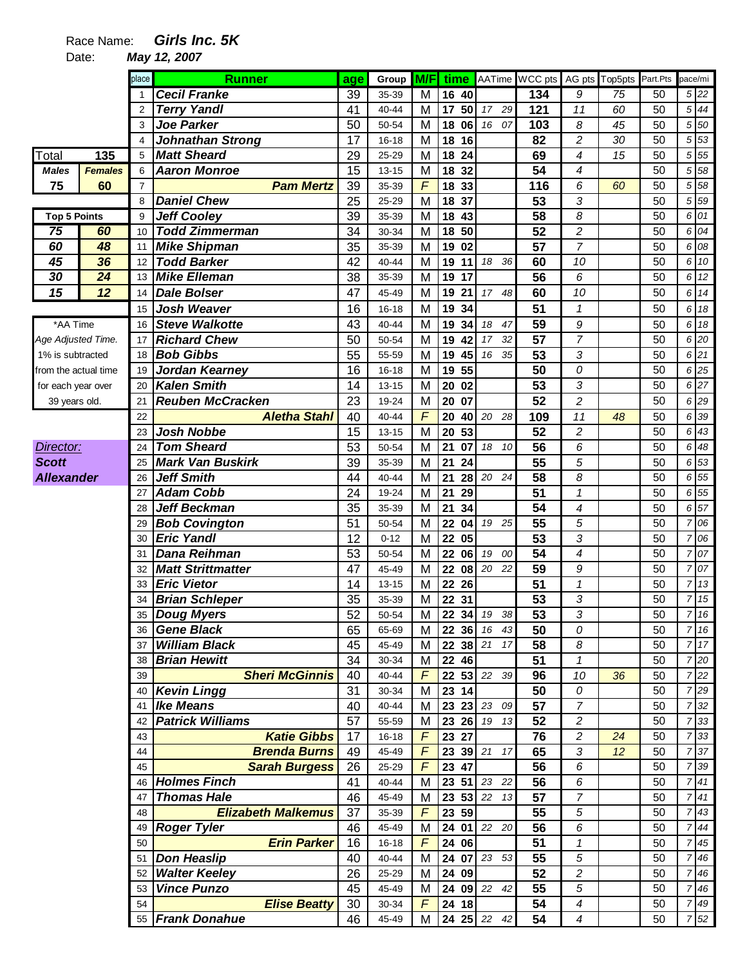## Race Name: **Girls Inc. 5K**

Date: **May 12, 2007** 

|                      |                | place          | <b>Runner</b>                               | age      | Group     | M/F            |            |                       | time AATime WCC pts | AG pts         | Top5pts | Part.Pts | pace/mi |                   |
|----------------------|----------------|----------------|---------------------------------------------|----------|-----------|----------------|------------|-----------------------|---------------------|----------------|---------|----------|---------|-------------------|
|                      |                |                | <b>Cecil Franke</b>                         | 39       | 35-39     | M              | 16<br>40   |                       | 134                 | 9              | 75      | 50       |         | 5 22              |
|                      |                | $\overline{2}$ | <b>Terry Yandl</b>                          | 41       | 40-44     | M              | 17<br>50   | 17 29                 | 121                 | 11             | 60      | 50       |         | $5 \overline{44}$ |
|                      |                | 3              | <b>Joe Parker</b>                           | 50       | 50-54     | M              | 18<br>06   | 16<br>07              | 103                 | 8              | 45      | 50       |         | 5 50              |
|                      |                | $\overline{4}$ | <b>Johnathan Strong</b>                     | 17       | $16 - 18$ | M              | 18<br>16   |                       | 82                  | $\overline{c}$ | 30      | 50       |         | 5 53              |
| Total                | 135            | 5              | <b>Matt Sheard</b>                          | 29       | 25-29     | M              | 18<br>24   |                       | 69                  | 4              | 15      | 50       |         | 5 5 5             |
| <b>Males</b>         | <b>Females</b> | 6              | <b>Aaron Monroe</b>                         | 15       | 13-15     | M              | 18<br>32   |                       | 54                  | 4              |         | 50       | 5       | 58                |
| 75                   | 60             | $\overline{7}$ | <b>Pam Mertz</b>                            | 39       | 35-39     | $\overline{F}$ | 18<br>33   |                       | 116                 | 6              | 60      | 50       | 5       | 58                |
|                      |                | 8              | <b>Daniel Chew</b>                          | 25       | 25-29     | M              | 37<br>18   |                       | 53                  | 3              |         | 50       |         | 5 59              |
| <b>Top 5 Points</b>  |                | 9              | <b>Jeff Cooley</b>                          | 39       | 35-39     | M              | 18<br>43   |                       | 58                  | 8              |         | 50       |         | 6 01              |
| $\overline{75}$      | 60             | 10             | <b>Todd Zimmerman</b>                       | 34       | 30-34     | M              | 50<br>18   |                       | 52                  | 2              |         | 50       | 6       | 04                |
| 60                   | 48             | 11             | <b>Mike Shipman</b>                         | 35       | 35-39     | M              | 02<br>19   |                       | 57                  | $\overline{7}$ |         | 50       | 6       | 08                |
| 45                   | 36             | 12             | <b>Todd Barker</b>                          | 42       | 40-44     | M              | 19<br>11   | 18<br>36              | 60                  | 10             |         | 50       |         | 6 10              |
| 30                   | 24             | 13             | <b>Mike Elleman</b>                         | 38       | 35-39     | M              | 19<br>17   |                       | 56                  | 6              |         | 50       |         | 6 12              |
| 15                   | 12             | 14             | <b>Dale Bolser</b>                          | 47       | 45-49     | M              | 19<br>21   | 17 <sup>2</sup><br>48 | 60                  | 10             |         | 50       |         | 6 14              |
|                      |                | 15             | <b>Josh Weaver</b>                          | 16       | $16 - 18$ | M              | 19<br>34   |                       | 51                  | $\mathbf{1}$   |         | 50       |         | 6 18              |
| *AA Time             |                | 16             | <b>Steve Walkotte</b>                       | 43       | 40-44     | M              | 19<br>34   | 18<br>47              | 59                  | 9              |         | 50       |         | 6 18              |
| Age Adjusted Time.   |                | 17             | <b>Richard Chew</b>                         | 50       | 50-54     | M              | 19<br>42   | 17<br>32              | 57                  | $\overline{7}$ |         | 50       |         | 6 20              |
| 1% is subtracted     |                | 18             | <b>Bob Gibbs</b>                            | 55       | 55-59     | M              | 19<br>45   | 16<br>35              | 53                  | 3              |         | 50       |         | 6 21              |
| from the actual time |                | 19             | Jordan Kearney                              | 16       | $16 - 18$ | M              | 55<br>19   |                       | 50                  | ${\cal O}$     |         | 50       |         | 6 25              |
| for each year over   |                | 20             | <b>Kalen Smith</b>                          | 14       | $13 - 15$ | M              | 20<br>02   |                       | $\overline{53}$     | 3              |         | 50       |         | 6 27              |
| 39 years old.        |                | 21             | <b>Reuben McCracken</b>                     | 23       | 19-24     | M              | 20<br>07   |                       | $\overline{52}$     | $\overline{c}$ |         | 50       |         | 6 29              |
|                      |                | 22             | <b>Aletha Stahl</b>                         | 40       | 40-44     | F              | 20<br>40   | 20 28                 | 109                 | 11             | 48      | 50       |         | 6 39              |
|                      |                | 23             | <b>Josh Nobbe</b>                           | 15       | $13 - 15$ | M              | 53<br>20   |                       | 52                  | $\overline{c}$ |         | 50       | 6       | 43                |
| Director:            |                | 24             | <b>Tom Sheard</b>                           | 53       | 50-54     | M              | 21<br>07   | 18<br>10              | 56                  | 6              |         | 50       | 6       | 48                |
| <b>Scott</b>         |                | 25             | <b>Mark Van Buskirk</b>                     | 39       | 35-39     | M              | 21<br>24   |                       | 55                  | 5              |         | 50       | 6       | 53                |
| <b>Allexander</b>    |                | 26             | <b>Jeff Smith</b>                           | 44       | 40-44     | M              | 21<br>28   | 20 24                 | 58                  | 8              |         | 50       |         | 6 55              |
|                      |                | 27             | <b>Adam Cobb</b>                            | 24       | 19-24     | M              | 21<br>29   |                       | 51                  | $\mathbf{1}$   |         | 50       |         | 6 55              |
|                      |                | 28             | <b>Jeff Beckman</b>                         | 35       | 35-39     | M              | 21<br>34   |                       | 54                  | 4              |         | 50       |         | 6 57              |
|                      |                | 29             | <b>Bob Covington</b>                        | 51       | 50-54     | M              | 22<br>04   | 19 25                 | 55                  | 5              |         | 50       | 7       | 06                |
|                      |                | 30             | <b>Eric Yandl</b>                           | 12       | $0 - 12$  | M              | 22<br>05   |                       | 53                  | 3              |         | 50       | 7       | 06                |
|                      |                | 31             | Dana Reihman                                | 53       | 50-54     | M              | 22<br>06   | 19<br>00              | $\overline{54}$     | 4              |         | 50       |         | 7 07              |
|                      |                | 32             | <b>Matt Strittmatter</b>                    | 47       | 45-49     | M              | 22<br>08   | 20<br>22              | 59                  | 9              |         | 50       |         | 7 07              |
|                      |                | 33             | <b>Eric Vietor</b>                          | 14       | 13-15     | M              | 22<br>26   |                       | 51                  | 1              |         | 50       | 7       | 13                |
|                      |                | 34             | <b>Brian Schleper</b>                       | 35       | 35-39     | M              | 22<br>31   |                       | 53                  | 3              |         | 50       | 7       | 15                |
|                      |                | 35             | Doug Myers                                  | 52       | 50-54     | $\overline{M}$ | ${\bf 22}$ | 34 19<br>$38\,$       | 53                  | 3              |         | 50       |         | 716               |
|                      |                |                | 36 Gene Black                               | 65       | 65-69     | M              |            | 22 36 16 43           | 50                  | 0              |         | 50       |         | 7 16              |
|                      |                |                | 37 William Black                            | 45       | 45-49     | M              |            | 22 38 21 17           | 58                  | 8              |         | 50       |         | 7 17              |
|                      |                | 38             | <b>Brian Hewitt</b>                         | 34       | 30-34     | M              | 22 46      |                       | $\overline{51}$     | $\mathbf{1}$   |         | 50       |         | $\overline{7}$ 20 |
|                      |                | 39             | <b>Sheri McGinnis</b>                       | 40       | 40-44     | $\overline{F}$ |            | 22 53 22 39           | 96                  | 10             | 36      | 50       |         | 7 22              |
|                      |                | 40             | <b>Kevin Lingg</b>                          | 31       | 30-34     | M              | 23 14      |                       | 50                  | 0              |         | 50       |         | 7 29              |
|                      |                | 41             | <b>Ike Means</b>                            | 40       | 40-44     | M              |            | 23 23 23 09           | $\overline{57}$     | $\overline{7}$ |         | 50       |         | 7 32              |
|                      |                | 42             | <b>Patrick Williams</b>                     | 57       | 55-59     | M              | 23 26      | 19 13                 | 52                  | 2              |         | 50       |         | 7 33              |
|                      |                | 43             | <b>Katie Gibbs</b>                          | 17       | 16-18     | F              | 23 27      |                       | 76                  | $\overline{c}$ | 24      | 50       |         | 7 33              |
|                      |                | 44             | <b>Brenda Burns</b>                         | 49       | 45-49     | F              |            | 23 39 21 17           | 65                  | 3              | 12      | 50       |         | 7 37              |
|                      |                | 45             |                                             | 26       | 25-29     | F              | 23 47      |                       | $\overline{56}$     | 6              |         | 50       |         | 7 39              |
|                      |                |                | <b>Sarah Burgess</b><br><b>Holmes Finch</b> |          | 40-44     |                | 23<br>51   | 23 22                 | 56                  | 6              |         | 50       |         | 741               |
|                      |                | 46<br>47       | <b>Thomas Hale</b>                          | 41<br>46 | 45-49     | M<br>M         | 23         | 53 22 13              | 57                  | $\overline{7}$ |         | 50       | 7       | 41                |
|                      |                | 48             | <b>Elizabeth Malkemus</b>                   | 37       | 35-39     | $\sqrt{F}$     |            |                       |                     | $\sqrt{5}$     |         | 50       |         | $7 \overline{43}$ |
|                      |                |                |                                             |          |           |                | 23 59      |                       | 55                  |                |         |          |         | $7 \overline{44}$ |
|                      |                | 49             | <b>Roger Tyler</b>                          | 46       | 45-49     | M              | 24<br>01   | 22 20                 | 56                  | 6              |         | 50       |         |                   |
|                      |                | 50             | <b>Erin Parker</b>                          | 16       | 16-18     | $\overline{F}$ | 24 06      |                       | 51                  | $\mathbf{1}$   |         | 50       |         | 7 45              |
|                      |                | 51             | Don Heaslip                                 | 40       | 40-44     | M              | 24 07      | 23 53                 | 55                  | $\sqrt{5}$     |         | 50       |         | 7 46              |
|                      |                |                | 52 Walter Keeley                            | 26       | 25-29     | M              | 24 09      |                       | 52                  | $\overline{c}$ |         | 50       |         | 7 46              |
|                      |                | 53             | <b>Vince Punzo</b>                          | 45       | 45-49     | М              |            | 24 09 22 42           | 55                  | $\sqrt{5}$     |         | 50       | 7       | 46                |
|                      |                | 54             | <b>Elise Beatty</b>                         | 30       | 30-34     | F              | 24 18      |                       | 54                  | $\overline{4}$ |         | 50       |         | 7 49              |
|                      |                |                | 55 Frank Donahue                            | 46       | 45-49     | М              |            | 24 25 22 42           | 54                  | $\overline{4}$ |         | 50       |         | 7 52              |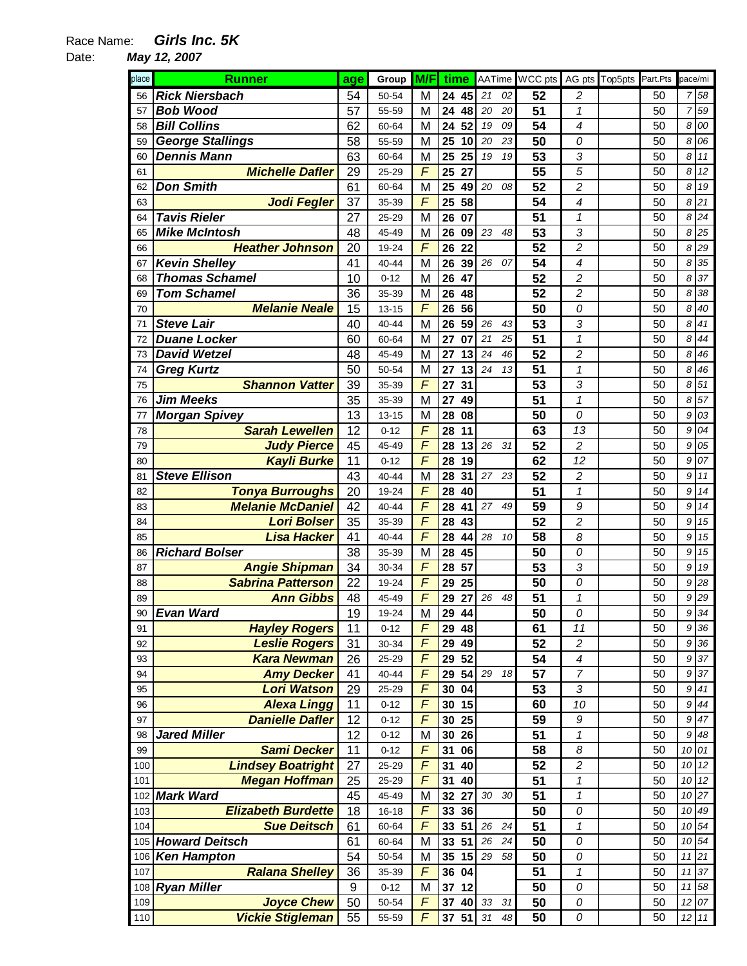## Race Name: **Girls Inc. 5K**

Date: **May 12, 2007** 

| place | <b>Runner</b>             | age              | Group     | M/F            | time     |          | AATime WCC pts  |                | AG pts Top5pts | Part.Pts | pace/mi          |                    |
|-------|---------------------------|------------------|-----------|----------------|----------|----------|-----------------|----------------|----------------|----------|------------------|--------------------|
| 56    | <b>Rick Niersbach</b>     | 54               | 50-54     | M              | 24 45    | 21<br>02 | 52              | $\overline{c}$ |                | 50       | $\overline{7}$   | 58                 |
| 57    | <b>Bob Wood</b>           | 57               | 55-59     | M              | 24<br>48 | 20<br>20 | 51              | 1              |                | 50       | $\overline{7}$   | 59                 |
| 58    | <b>Bill Collins</b>       | 62               | 60-64     | M              | 52<br>24 | 19<br>09 | 54              | 4              |                | 50       | 8                | 00                 |
| 59    | <b>George Stallings</b>   | 58               | 55-59     | M              | 25<br>10 | 20<br>23 | 50              | 0              |                | 50       | 8                | 06                 |
| 60    | <b>Dennis Mann</b>        | 63               | 60-64     | M              | 25<br>25 | 19<br>19 | 53              | 3              |                | 50       | 8                | 11                 |
| 61    | <b>Michelle Dafler</b>    | 29               | 25-29     | $\mathsf{F}$   | 25<br>27 |          | 55              | 5              |                | 50       | 8                | 12                 |
| 62    | <b>Don Smith</b>          | 61               | 60-64     | M              | 25<br>49 | 20<br>08 | 52              | 2              |                | 50       | 8                | 19                 |
| 63    | Jodi Fegler               | 37               | 35-39     | $\mathsf{F}$   | 58<br>25 |          | 54              | 4              |                | 50       | 8                | 21                 |
| 64    | <b>Tavis Rieler</b>       | 27               | 25-29     | M              | 26<br>07 |          | 51              | $\mathbf{1}$   |                | 50       | 8                | 24                 |
| 65    | <b>Mike McIntosh</b>      | 48               | 45-49     | M              | 26<br>09 | 23<br>48 | 53              | 3              |                | 50       | 8                | 25                 |
| 66    | <b>Heather Johnson</b>    | 20               | 19-24     | F              | 22<br>26 |          | 52              | $\overline{c}$ |                | 50       | 8                | 29                 |
| 67    | <b>Kevin Shelley</b>      | 41               | 40-44     | M              | 26<br>39 | 26<br>07 | 54              | 4              |                | 50       | 8                | 35                 |
| 68    | <b>Thomas Schamel</b>     | 10               | $0 - 12$  | M              | 47<br>26 |          | 52              | 2              |                | 50       | 8                | 37                 |
| 69    | <b>Tom Schamel</b>        | 36               | 35-39     | M              | 26<br>48 |          | 52              | $\overline{c}$ |                | 50       | 8                | 38                 |
| 70    | <b>Melanie Neale</b>      | 15               | $13 - 15$ | F              | 56<br>26 |          | 50              | 0              |                | 50       | 8                | 40                 |
| 71    | <b>Steve Lair</b>         | 40               | 40-44     | M              | 59<br>26 | 26<br>43 | 53              | 3              |                | 50       | 8                | 41                 |
| 72    | <b>Duane Locker</b>       | 60               | 60-64     | M              | 27<br>07 | 21<br>25 | $\overline{51}$ | $\mathbf 1$    |                | 50       | 8                | 44                 |
| 73    | <b>David Wetzel</b>       | 48               | 45-49     | M              | 27<br>13 | 24<br>46 | 52              | $\overline{c}$ |                | 50       | 8                | 46                 |
| 74    | <b>Greg Kurtz</b>         | 50               | 50-54     | M              | 27<br>13 | 24<br>13 | 51              | $\mathbf{1}$   |                | 50       | 8                | 46                 |
| 75    | <b>Shannon Vatter</b>     | 39               | 35-39     | $\mathsf{F}$   | 31<br>27 |          | 53              | 3              |                | 50       | 8                | 51                 |
| 76    | <b>Jim Meeks</b>          | $\overline{35}$  | 35-39     | M              | 49<br>27 |          | 51              | $\mathbf{1}$   |                | 50       | 8                | 57                 |
| 77    | <b>Morgan Spivey</b>      | 13               | $13 - 15$ | M              | 08<br>28 |          | 50              | 0              |                | 50       | 9                | 03                 |
| 78    | <b>Sarah Lewellen</b>     | 12               | $0 - 12$  | F              | 28<br>11 |          | 63              | 13             |                | 50       | 9                | 04                 |
| 79    | <b>Judy Pierce</b>        | 45               | 45-49     | F              | 13<br>28 | 26<br>31 | 52              | $\overline{c}$ |                | 50       | 9                | 05                 |
| 80    | <b>Kayli Burke</b>        | 11               | $0 - 12$  | F              | 28<br>19 |          | 62              | 12             |                | 50       | 9                | 07                 |
| 81    | <b>Steve Ellison</b>      | 43               | 40-44     | M              | 28<br>31 | 27<br>23 | 52              | 2              |                | 50       | 9                | 11                 |
| 82    | <b>Tonya Burroughs</b>    | 20               | 19-24     | $\mathsf{F}$   | 28<br>40 |          | 51              | $\mathbf{1}$   |                | 50       | 9                | 14                 |
| 83    | <b>Melanie McDaniel</b>   | 42               | 40-44     | $\overline{F}$ | 28<br>41 | 27<br>49 | 59              | 9              |                | 50       | 9                | 14                 |
| 84    | <b>Lori Bolser</b>        | 35               | 35-39     | $\overline{F}$ | 43<br>28 |          | 52              | $\overline{c}$ |                | 50       | 9                | 15                 |
| 85    | <b>Lisa Hacker</b>        | 41               | 40-44     | $\overline{F}$ | 28<br>44 | 28<br>10 | 58              | 8              |                | 50       | 9                | 15                 |
| 86    | <b>Richard Bolser</b>     | 38               | 35-39     | M              | 28 45    |          | 50              | 0              |                | 50       | 9                | 15                 |
| 87    | <b>Angie Shipman</b>      | 34               | 30-34     | F              | 57<br>28 |          | 53              | 3              |                | 50       | 9                | 19                 |
| 88    | <b>Sabrina Patterson</b>  | 22               | 19-24     | $\mathsf{F}$   | 29<br>25 |          | 50              | 0              |                | 50       | 9                | 28                 |
| 89    | <b>Ann Gibbs</b>          | 48               | 45-49     | F              | 29<br>27 | 26<br>48 | 51              | 1              |                | 50       | 9                | 29                 |
| 90    | <b>Evan Ward</b>          | 19               | 19-24     | M              | 29 44    |          | 50              | 0              |                | 50       |                  | $9 \overline{)34}$ |
| 91    | <b>Hayley Rogers</b>      | 11               | $0 - 12$  | F              | 29 48    |          | 61              | 11             |                | 50       | 9                | 36                 |
| 92    | <b>Leslie Rogers</b>      | 31               | 30-34     | F              | 29<br>49 |          | 52              | 2              |                | 50       | 9                | 36                 |
| 93    | <b>Kara Newman</b>        | 26               | 25-29     | F              | 52<br>29 |          | 54              | 4              |                | 50       | 9                | 37                 |
| 94    | <b>Amy Decker</b>         | 41               | 40-44     | F              | 29<br>54 | 29<br>18 | 57              | 7              |                | 50       | 9                | 37                 |
| 95    | <b>Lori Watson</b>        | 29               | 25-29     | F              | 04<br>30 |          | 53              | 3              |                | 50       | $\boldsymbol{9}$ | 41                 |
| 96    | <b>Alexa Lingg</b>        | 11               | $0 - 12$  | $\overline{F}$ | 30 15    |          | 60              | 10             |                | 50       |                  | 9 44               |
| 97    | <b>Danielle Dafler</b>    | 12               | $0 - 12$  | $\overline{F}$ | 30 25    |          | 59              | 9              |                | 50       |                  | 9 47               |
| 98    | <b>Jared Miller</b>       | 12               | $0 - 12$  | M              | 30 26    |          | 51              | $\mathbf{1}$   |                | 50       | 9                | 48                 |
| 99    | <b>Sami Decker</b>        | 11               | $0 - 12$  | F              | 31<br>06 |          | 58              | 8              |                | 50       |                  | 10 01              |
| 100   | <b>Lindsey Boatright</b>  | 27               | 25-29     | F              | 31<br>40 |          | 52              | $\overline{c}$ |                | 50       | 10               | 12                 |
| 101   | <b>Megan Hoffman</b>      | 25               | 25-29     | F              | 40<br>31 |          | 51              | $\mathbf 1$    |                | 50       | 10               | 12                 |
| 102   | <b>Mark Ward</b>          | 45               | 45-49     | M              | 27<br>32 | 30<br>30 | 51              | $\mathbf{1}$   |                | 50       |                  | 10 27              |
| 103   | <b>Elizabeth Burdette</b> | 18               | 16-18     | $\overline{F}$ | 33 36    |          | 50              | 0              |                | 50       |                  | 10 49              |
| 104   | <b>Sue Deitsch</b>        | 61               | 60-64     | F              | 33<br>51 | 26<br>24 | 51              | 1              |                | 50       | 10 <sup>1</sup>  | 54                 |
|       | 105 Howard Deitsch        | 61               | 60-64     | M              | 33<br>51 | 26<br>24 | 50              | 0              |                | 50       |                  | 10 54              |
| 106   | <b>Ken Hampton</b>        | 54               | 50-54     | M              | 35<br>15 | 29<br>58 | 50              | 0              |                | 50       |                  | 11 21              |
| 107   | <b>Ralana Shelley</b>     | 36               | 35-39     | $\sqrt{2}$     | 36 04    |          | 51              | $\mathbf{1}$   |                | 50       |                  | 11 37              |
| 108   | <b>Ryan Miller</b>        | $\boldsymbol{9}$ | $0 - 12$  | M              | 37 12    |          | 50              | 0              |                | 50       |                  | 11 58              |
| 109   | <b>Joyce Chew</b>         | 50               | 50-54     | $\overline{F}$ | 37 40    | 33<br>31 | 50              | 0              |                | 50       |                  | 12 07              |
| 110   | <b>Vickie Stigleman</b>   | 55               | 55-59     | $\overline{F}$ | 37 51    | 31<br>48 | 50              | 0              |                | 50       |                  | $12$ 11            |